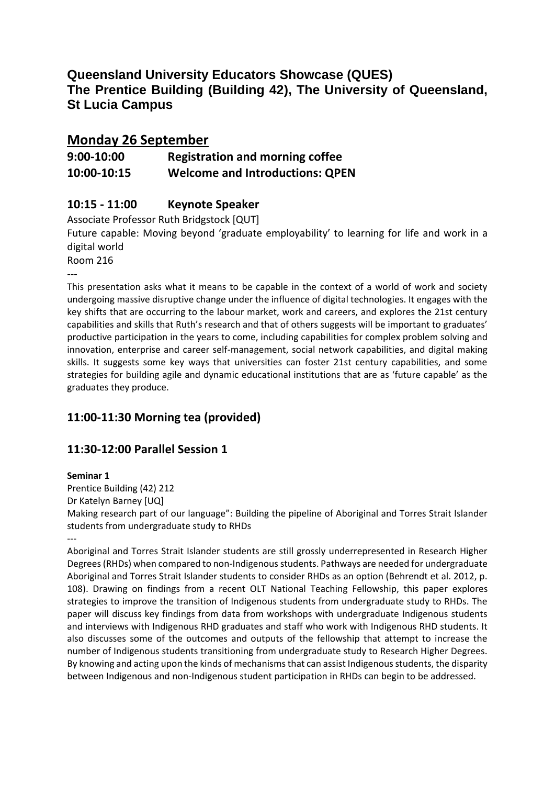# **Queensland University Educators Showcase (QUES) The Prentice Building (Building 42), The University of Queensland, St Lucia Campus**

# **Monday 26 September**

# **9:00-10:00 Registration and morning coffee 10:00-10:15 Welcome and Introductions: QPEN**

### **10:15 - 11:00 Keynote Speaker**

Associate Professor Ruth Bridgstock [QUT]

Future capable: Moving beyond 'graduate employability' to learning for life and work in a digital world

Room 216

---

This presentation asks what it means to be capable in the context of a world of work and society undergoing massive disruptive change under the influence of digital technologies. It engages with the key shifts that are occurring to the labour market, work and careers, and explores the 21st century capabilities and skills that Ruth's research and that of others suggests will be important to graduates' productive participation in the years to come, including capabilities for complex problem solving and innovation, enterprise and career self-management, social network capabilities, and digital making skills. It suggests some key ways that universities can foster 21st century capabilities, and some strategies for building agile and dynamic educational institutions that are as 'future capable' as the graduates they produce.

# **11:00-11:30 Morning tea (provided)**

### **11:30-12:00 Parallel Session 1**

### **Seminar 1**

Prentice Building (42) 212 Dr Katelyn Barney [UQ] Making research part of our language": Building the pipeline of Aboriginal and Torres Strait Islander students from undergraduate study to RHDs

--- Aboriginal and Torres Strait Islander students are still grossly underrepresented in Research Higher Degrees (RHDs) when compared to non-Indigenous students. Pathways are needed for undergraduate Aboriginal and Torres Strait Islander students to consider RHDs as an option (Behrendt et al. 2012, p. 108). Drawing on findings from a recent OLT National Teaching Fellowship, this paper explores strategies to improve the transition of Indigenous students from undergraduate study to RHDs. The paper will discuss key findings from data from workshops with undergraduate Indigenous students and interviews with Indigenous RHD graduates and staff who work with Indigenous RHD students. It also discusses some of the outcomes and outputs of the fellowship that attempt to increase the number of Indigenous students transitioning from undergraduate study to Research Higher Degrees. By knowing and acting upon the kinds of mechanisms that can assist Indigenous students, the disparity between Indigenous and non-Indigenous student participation in RHDs can begin to be addressed.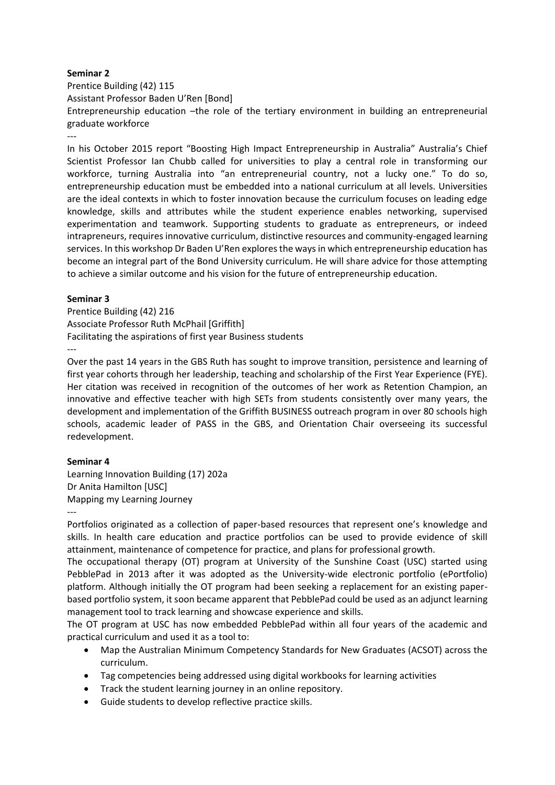Prentice Building (42) 115 Assistant Professor Baden U'Ren [Bond]

Entrepreneurship education –the role of the tertiary environment in building an entrepreneurial graduate workforce

---

In his October 2015 report "Boosting High Impact Entrepreneurship in Australia" Australia's Chief Scientist Professor Ian Chubb called for universities to play a central role in transforming our workforce, turning Australia into "an entrepreneurial country, not a lucky one." To do so, entrepreneurship education must be embedded into a national curriculum at all levels. Universities are the ideal contexts in which to foster innovation because the curriculum focuses on leading edge knowledge, skills and attributes while the student experience enables networking, supervised experimentation and teamwork. Supporting students to graduate as entrepreneurs, or indeed intrapreneurs, requires innovative curriculum, distinctive resources and community-engaged learning services. In this workshop Dr Baden U'Ren explores the ways in which entrepreneurship education has become an integral part of the Bond University curriculum. He will share advice for those attempting to achieve a similar outcome and his vision for the future of entrepreneurship education.

### **Seminar 3**

Prentice Building (42) 216 Associate Professor Ruth McPhail [Griffith] Facilitating the aspirations of first year Business students ---

Over the past 14 years in the GBS Ruth has sought to improve transition, persistence and learning of first year cohorts through her leadership, teaching and scholarship of the First Year Experience (FYE). Her citation was received in recognition of the outcomes of her work as Retention Champion, an innovative and effective teacher with high SETs from students consistently over many years, the development and implementation of the Griffith BUSINESS outreach program in over 80 schools high schools, academic leader of PASS in the GBS, and Orientation Chair overseeing its successful redevelopment.

### **Seminar 4**

Learning Innovation Building (17) 202a Dr Anita Hamilton [USC] Mapping my Learning Journey

---

Portfolios originated as a collection of paper-based resources that represent one's knowledge and skills. In health care education and practice portfolios can be used to provide evidence of skill attainment, maintenance of competence for practice, and plans for professional growth.

The occupational therapy (OT) program at University of the Sunshine Coast (USC) started using PebblePad in 2013 after it was adopted as the University-wide electronic portfolio (ePortfolio) platform. Although initially the OT program had been seeking a replacement for an existing paperbased portfolio system, it soon became apparent that PebblePad could be used as an adjunct learning management tool to track learning and showcase experience and skills.

The OT program at USC has now embedded PebblePad within all four years of the academic and practical curriculum and used it as a tool to:

- Map the Australian Minimum Competency Standards for New Graduates (ACSOT) across the curriculum.
- Tag competencies being addressed using digital workbooks for learning activities
- Track the student learning journey in an online repository.
- Guide students to develop reflective practice skills.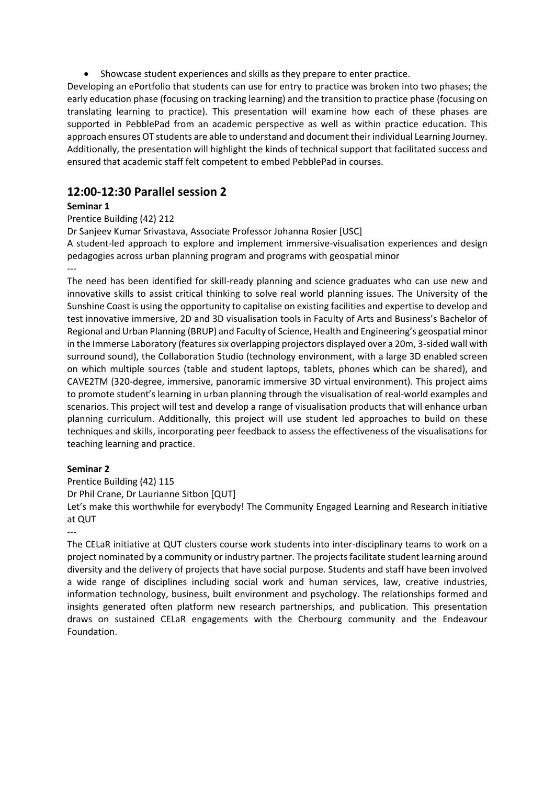Showcase student experiences and skills as they prepare to enter practice.

Developing an ePortfolio that students can use for entry to practice was broken into two phases; the early education phase (focusing on tracking learning) and the transition to practice phase (focusing on translating learning to practice). This presentation will examine how each of these phases are supported in PebblePad from an academic perspective as well as within practice education. This approach ensures OT students are able to understand and document their individual Learning Journey. Additionally, the presentation will highlight the kinds of technical support that facilitated success and ensured that academic staff felt competent to embed PebblePad in courses.

### **12:00-12:30 Parallel session 2**

### **Seminar 1**

Prentice Building (42) 212

Dr Sanjeev Kumar Srivastava, Associate Professor Johanna Rosier [USC]

A student-led approach to explore and implement immersive-visualisation experiences and design pedagogies across urban planning program and programs with geospatial minor ---

The need has been identified for skill-ready planning and science graduates who can use new and innovative skills to assist critical thinking to solve real world planning issues. The University of the Sunshine Coast is using the opportunity to capitalise on existing facilities and expertise to develop and test innovative immersive, 2D and 3D visualisation tools in Faculty of Arts and Business's Bachelor of Regional and Urban Planning (BRUP) and Faculty of Science, Health and Engineering's geospatial minor in the Immerse Laboratory (features six overlapping projectors displayed over a 20m, 3-sided wall with surround sound), the Collaboration Studio (technology environment, with a large 3D enabled screen on which multiple sources (table and student laptops, tablets, phones which can be shared), and CAVE2TM (320-degree, immersive, panoramic immersive 3D virtual environment). This project aims to promote student's learning in urban planning through the visualisation of real-world examples and scenarios. This project will test and develop a range of visualisation products that will enhance urban planning curriculum. Additionally, this project will use student led approaches to build on these techniques and skills, incorporating peer feedback to assess the effectiveness of the visualisations for teaching learning and practice.

### **Seminar 2**

Prentice Building (42) 115 Dr Phil Crane, Dr Laurianne Sitbon [QUT]

Let's make this worthwhile for everybody! The Community Engaged Learning and Research initiative at QUT

---

The CELaR initiative at QUT clusters course work students into inter-disciplinary teams to work on a project nominated by a community or industry partner. The projects facilitate student learning around diversity and the delivery of projects that have social purpose. Students and staff have been involved a wide range of disciplines including social work and human services, law, creative industries, information technology, business, built environment and psychology. The relationships formed and insights generated often platform new research partnerships, and publication. This presentation draws on sustained CELaR engagements with the Cherbourg community and the Endeavour Foundation.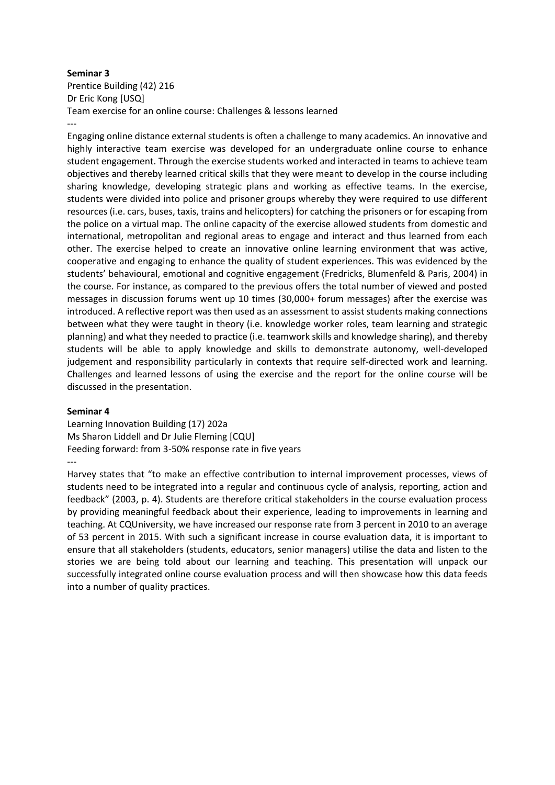Prentice Building (42) 216 Dr Eric Kong [USQ] Team exercise for an online course: Challenges & lessons learned ---

Engaging online distance external students is often a challenge to many academics. An innovative and highly interactive team exercise was developed for an undergraduate online course to enhance student engagement. Through the exercise students worked and interacted in teams to achieve team objectives and thereby learned critical skills that they were meant to develop in the course including sharing knowledge, developing strategic plans and working as effective teams. In the exercise, students were divided into police and prisoner groups whereby they were required to use different resources (i.e. cars, buses, taxis, trains and helicopters) for catching the prisoners or for escaping from the police on a virtual map. The online capacity of the exercise allowed students from domestic and international, metropolitan and regional areas to engage and interact and thus learned from each other. The exercise helped to create an innovative online learning environment that was active, cooperative and engaging to enhance the quality of student experiences. This was evidenced by the students' behavioural, emotional and cognitive engagement (Fredricks, Blumenfeld & Paris, 2004) in the course. For instance, as compared to the previous offers the total number of viewed and posted messages in discussion forums went up 10 times (30,000+ forum messages) after the exercise was introduced. A reflective report was then used as an assessment to assist students making connections between what they were taught in theory (i.e. knowledge worker roles, team learning and strategic planning) and what they needed to practice (i.e. teamwork skills and knowledge sharing), and thereby students will be able to apply knowledge and skills to demonstrate autonomy, well-developed judgement and responsibility particularly in contexts that require self-directed work and learning. Challenges and learned lessons of using the exercise and the report for the online course will be discussed in the presentation.

#### **Seminar 4**

Learning Innovation Building (17) 202a Ms Sharon Liddell and Dr Julie Fleming [CQU] Feeding forward: from 3-50% response rate in five years ---

Harvey states that "to make an effective contribution to internal improvement processes, views of students need to be integrated into a regular and continuous cycle of analysis, reporting, action and feedback" (2003, p. 4). Students are therefore critical stakeholders in the course evaluation process by providing meaningful feedback about their experience, leading to improvements in learning and teaching. At CQUniversity, we have increased our response rate from 3 percent in 2010 to an average of 53 percent in 2015. With such a significant increase in course evaluation data, it is important to ensure that all stakeholders (students, educators, senior managers) utilise the data and listen to the stories we are being told about our learning and teaching. This presentation will unpack our successfully integrated online course evaluation process and will then showcase how this data feeds into a number of quality practices.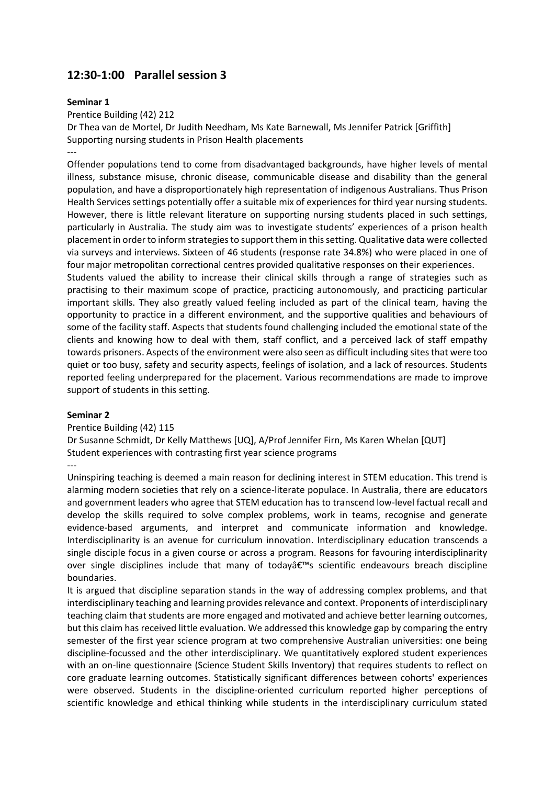### **12:30-1:00 Parallel session 3**

#### **Seminar 1**

Prentice Building (42) 212

Dr Thea van de Mortel, Dr Judith Needham, Ms Kate Barnewall, Ms Jennifer Patrick [Griffith] Supporting nursing students in Prison Health placements ---

Offender populations tend to come from disadvantaged backgrounds, have higher levels of mental illness, substance misuse, chronic disease, communicable disease and disability than the general population, and have a disproportionately high representation of indigenous Australians. Thus Prison Health Services settings potentially offer a suitable mix of experiences for third year nursing students. However, there is little relevant literature on supporting nursing students placed in such settings, particularly in Australia. The study aim was to investigate students' experiences of a prison health placement in order to inform strategies to support them in this setting. Qualitative data were collected via surveys and interviews. Sixteen of 46 students (response rate 34.8%) who were placed in one of four major metropolitan correctional centres provided qualitative responses on their experiences.

Students valued the ability to increase their clinical skills through a range of strategies such as practising to their maximum scope of practice, practicing autonomously, and practicing particular important skills. They also greatly valued feeling included as part of the clinical team, having the opportunity to practice in a different environment, and the supportive qualities and behaviours of some of the facility staff. Aspects that students found challenging included the emotional state of the clients and knowing how to deal with them, staff conflict, and a perceived lack of staff empathy towards prisoners. Aspects of the environment were also seen as difficult including sites that were too quiet or too busy, safety and security aspects, feelings of isolation, and a lack of resources. Students reported feeling underprepared for the placement. Various recommendations are made to improve support of students in this setting.

### **Seminar 2**

Prentice Building (42) 115 Dr Susanne Schmidt, Dr Kelly Matthews [UQ], A/Prof Jennifer Firn, Ms Karen Whelan [QUT] Student experiences with contrasting first year science programs ---

Uninspiring teaching is deemed a main reason for declining interest in STEM education. This trend is alarming modern societies that rely on a science-literate populace. In Australia, there are educators and government leaders who agree that STEM education has to transcend low-level factual recall and develop the skills required to solve complex problems, work in teams, recognise and generate evidence-based arguments, and interpret and communicate information and knowledge. Interdisciplinarity is an avenue for curriculum innovation. Interdisciplinary education transcends a single disciple focus in a given course or across a program. Reasons for favouring interdisciplinarity over single disciplines include that many of todayâ€<sup>™</sup>s scientific endeavours breach discipline boundaries.

It is argued that discipline separation stands in the way of addressing complex problems, and that interdisciplinary teaching and learning provides relevance and context. Proponents of interdisciplinary teaching claim that students are more engaged and motivated and achieve better learning outcomes, but this claim has received little evaluation. We addressed this knowledge gap by comparing the entry semester of the first year science program at two comprehensive Australian universities: one being discipline-focussed and the other interdisciplinary. We quantitatively explored student experiences with an on-line questionnaire (Science Student Skills Inventory) that requires students to reflect on core graduate learning outcomes. Statistically significant differences between cohorts' experiences were observed. Students in the discipline-oriented curriculum reported higher perceptions of scientific knowledge and ethical thinking while students in the interdisciplinary curriculum stated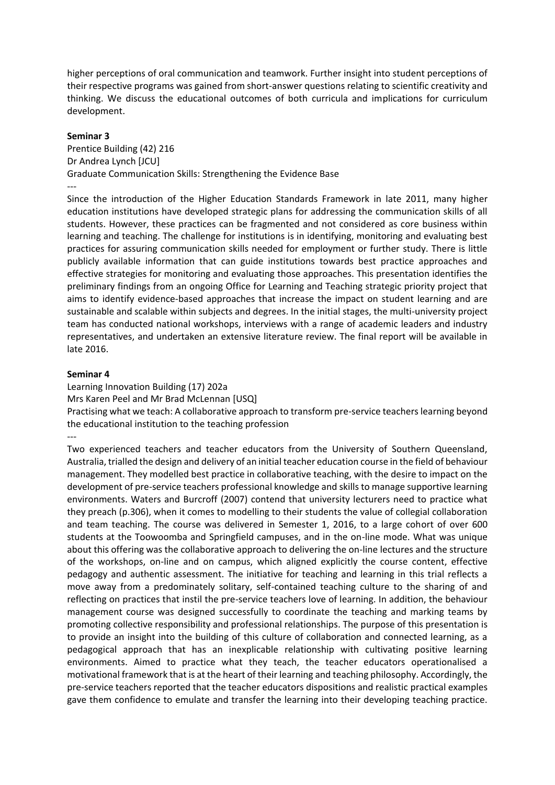higher perceptions of oral communication and teamwork. Further insight into student perceptions of their respective programs was gained from short-answer questions relating to scientific creativity and thinking. We discuss the educational outcomes of both curricula and implications for curriculum development.

#### **Seminar 3**

Prentice Building (42) 216 Dr Andrea Lynch [JCU] Graduate Communication Skills: Strengthening the Evidence Base ---

Since the introduction of the Higher Education Standards Framework in late 2011, many higher education institutions have developed strategic plans for addressing the communication skills of all students. However, these practices can be fragmented and not considered as core business within learning and teaching. The challenge for institutions is in identifying, monitoring and evaluating best practices for assuring communication skills needed for employment or further study. There is little publicly available information that can guide institutions towards best practice approaches and effective strategies for monitoring and evaluating those approaches. This presentation identifies the preliminary findings from an ongoing Office for Learning and Teaching strategic priority project that aims to identify evidence-based approaches that increase the impact on student learning and are sustainable and scalable within subjects and degrees. In the initial stages, the multi-university project team has conducted national workshops, interviews with a range of academic leaders and industry representatives, and undertaken an extensive literature review. The final report will be available in late 2016.

#### **Seminar 4**

Learning Innovation Building (17) 202a Mrs Karen Peel and Mr Brad McLennan [USQ] Practising what we teach: A collaborative approach to transform pre-service teachers learning beyond the educational institution to the teaching profession ---

Two experienced teachers and teacher educators from the University of Southern Queensland, Australia, trialled the design and delivery of an initial teacher education course in the field of behaviour management. They modelled best practice in collaborative teaching, with the desire to impact on the development of pre-service teachers professional knowledge and skills to manage supportive learning environments. Waters and Burcroff (2007) contend that university lecturers need to practice what they preach (p.306), when it comes to modelling to their students the value of collegial collaboration and team teaching. The course was delivered in Semester 1, 2016, to a large cohort of over 600 students at the Toowoomba and Springfield campuses, and in the on-line mode. What was unique about this offering was the collaborative approach to delivering the on-line lectures and the structure of the workshops, on-line and on campus, which aligned explicitly the course content, effective pedagogy and authentic assessment. The initiative for teaching and learning in this trial reflects a move away from a predominately solitary, self-contained teaching culture to the sharing of and reflecting on practices that instil the pre-service teachers love of learning. In addition, the behaviour management course was designed successfully to coordinate the teaching and marking teams by promoting collective responsibility and professional relationships. The purpose of this presentation is to provide an insight into the building of this culture of collaboration and connected learning, as a pedagogical approach that has an inexplicable relationship with cultivating positive learning environments. Aimed to practice what they teach, the teacher educators operationalised a motivational framework that is at the heart of their learning and teaching philosophy. Accordingly, the pre-service teachers reported that the teacher educators dispositions and realistic practical examples gave them confidence to emulate and transfer the learning into their developing teaching practice.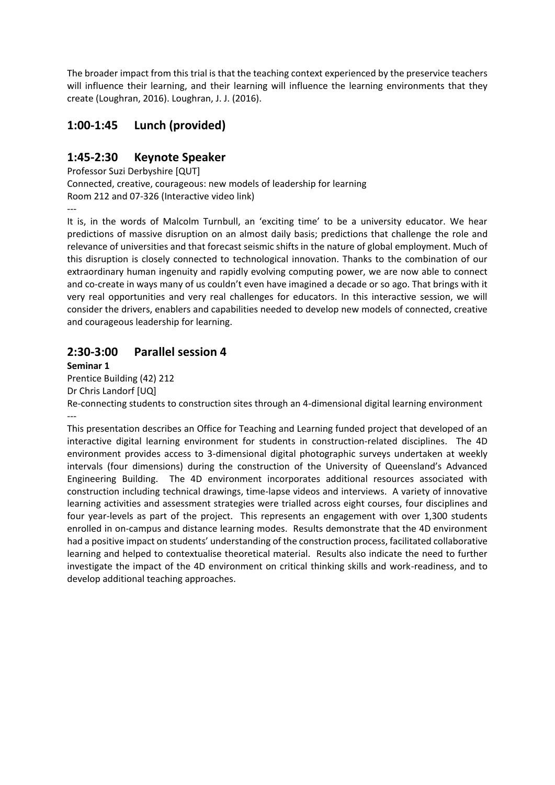The broader impact from this trial is that the teaching context experienced by the preservice teachers will influence their learning, and their learning will influence the learning environments that they create (Loughran, 2016). Loughran, J. J. (2016).

# **1:00-1:45 Lunch (provided)**

### **1:45-2:30 Keynote Speaker**

Professor Suzi Derbyshire [QUT] Connected, creative, courageous: new models of leadership for learning Room 212 and 07-326 (Interactive video link)

---

It is, in the words of Malcolm Turnbull, an 'exciting time' to be a university educator. We hear predictions of massive disruption on an almost daily basis; predictions that challenge the role and relevance of universities and that forecast seismic shifts in the nature of global employment. Much of this disruption is closely connected to technological innovation. Thanks to the combination of our extraordinary human ingenuity and rapidly evolving computing power, we are now able to connect and co-create in ways many of us couldn't even have imagined a decade or so ago. That brings with it very real opportunities and very real challenges for educators. In this interactive session, we will consider the drivers, enablers and capabilities needed to develop new models of connected, creative and courageous leadership for learning.

### **2:30-3:00 Parallel session 4**

**Seminar 1**

Prentice Building (42) 212 Dr Chris Landorf [UQ]

Re-connecting students to construction sites through an 4-dimensional digital learning environment ---

This presentation describes an Office for Teaching and Learning funded project that developed of an interactive digital learning environment for students in construction-related disciplines. The 4D environment provides access to 3-dimensional digital photographic surveys undertaken at weekly intervals (four dimensions) during the construction of the University of Queensland's Advanced Engineering Building. The 4D environment incorporates additional resources associated with construction including technical drawings, time-lapse videos and interviews. A variety of innovative learning activities and assessment strategies were trialled across eight courses, four disciplines and four year-levels as part of the project. This represents an engagement with over 1,300 students enrolled in on-campus and distance learning modes. Results demonstrate that the 4D environment had a positive impact on students' understanding of the construction process, facilitated collaborative learning and helped to contextualise theoretical material. Results also indicate the need to further investigate the impact of the 4D environment on critical thinking skills and work-readiness, and to develop additional teaching approaches.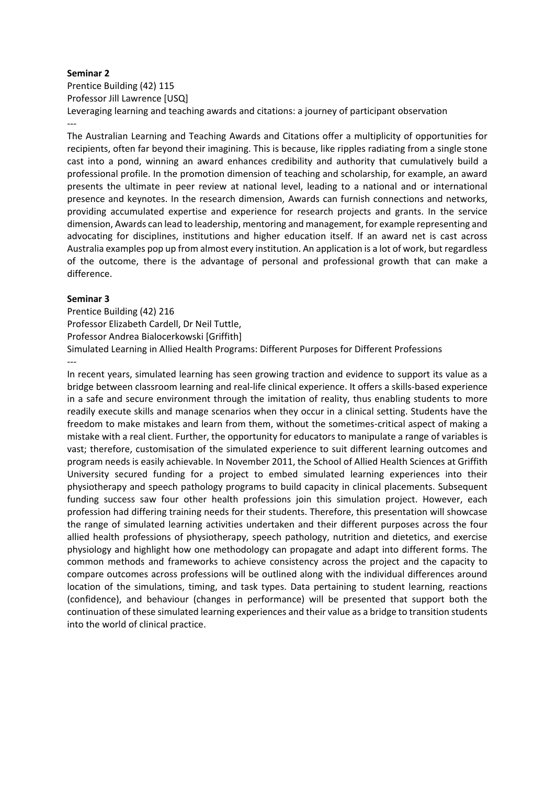Prentice Building (42) 115 Professor Jill Lawrence [USQ] Leveraging learning and teaching awards and citations: a journey of participant observation ---

The Australian Learning and Teaching Awards and Citations offer a multiplicity of opportunities for recipients, often far beyond their imagining. This is because, like ripples radiating from a single stone cast into a pond, winning an award enhances credibility and authority that cumulatively build a professional profile. In the promotion dimension of teaching and scholarship, for example, an award presents the ultimate in peer review at national level, leading to a national and or international presence and keynotes. In the research dimension, Awards can furnish connections and networks, providing accumulated expertise and experience for research projects and grants. In the service dimension, Awards can lead to leadership, mentoring and management, for example representing and advocating for disciplines, institutions and higher education itself. If an award net is cast across Australia examples pop up from almost every institution. An application is a lot of work, but regardless of the outcome, there is the advantage of personal and professional growth that can make a difference.

### **Seminar 3**

Prentice Building (42) 216 Professor Elizabeth Cardell, Dr Neil Tuttle, Professor Andrea Bialocerkowski [Griffith] Simulated Learning in Allied Health Programs: Different Purposes for Different Professions ---

In recent years, simulated learning has seen growing traction and evidence to support its value as a bridge between classroom learning and real-life clinical experience. It offers a skills-based experience in a safe and secure environment through the imitation of reality, thus enabling students to more readily execute skills and manage scenarios when they occur in a clinical setting. Students have the freedom to make mistakes and learn from them, without the sometimes-critical aspect of making a mistake with a real client. Further, the opportunity for educators to manipulate a range of variables is vast; therefore, customisation of the simulated experience to suit different learning outcomes and program needs is easily achievable. In November 2011, the School of Allied Health Sciences at Griffith University secured funding for a project to embed simulated learning experiences into their physiotherapy and speech pathology programs to build capacity in clinical placements. Subsequent funding success saw four other health professions join this simulation project. However, each profession had differing training needs for their students. Therefore, this presentation will showcase the range of simulated learning activities undertaken and their different purposes across the four allied health professions of physiotherapy, speech pathology, nutrition and dietetics, and exercise physiology and highlight how one methodology can propagate and adapt into different forms. The common methods and frameworks to achieve consistency across the project and the capacity to compare outcomes across professions will be outlined along with the individual differences around location of the simulations, timing, and task types. Data pertaining to student learning, reactions (confidence), and behaviour (changes in performance) will be presented that support both the continuation of these simulated learning experiences and their value as a bridge to transition students into the world of clinical practice.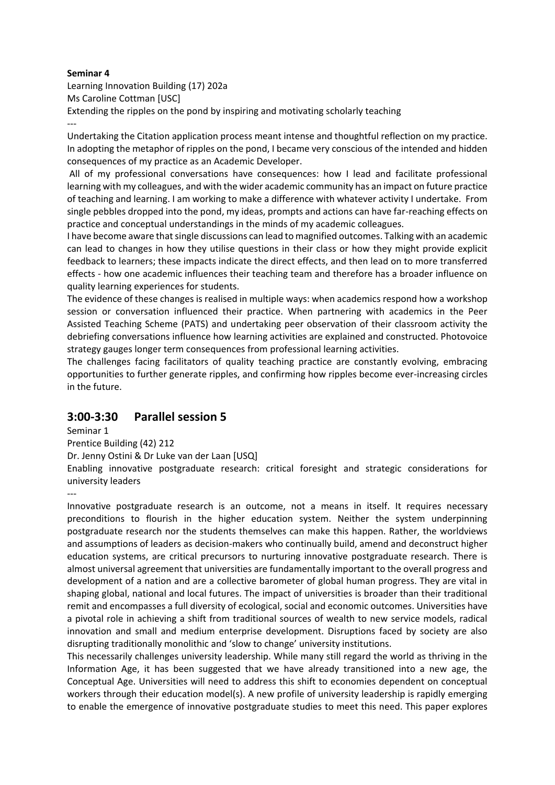Learning Innovation Building (17) 202a Ms Caroline Cottman [USC] Extending the ripples on the pond by inspiring and motivating scholarly teaching ---

Undertaking the Citation application process meant intense and thoughtful reflection on my practice. In adopting the metaphor of ripples on the pond, I became very conscious of the intended and hidden consequences of my practice as an Academic Developer.

All of my professional conversations have consequences: how I lead and facilitate professional learning with my colleagues, and with the wider academic community has an impact on future practice of teaching and learning. I am working to make a difference with whatever activity I undertake. From single pebbles dropped into the pond, my ideas, prompts and actions can have far-reaching effects on practice and conceptual understandings in the minds of my academic colleagues.

I have become aware that single discussions can lead to magnified outcomes. Talking with an academic can lead to changes in how they utilise questions in their class or how they might provide explicit feedback to learners; these impacts indicate the direct effects, and then lead on to more transferred effects - how one academic influences their teaching team and therefore has a broader influence on quality learning experiences for students.

The evidence of these changes is realised in multiple ways: when academics respond how a workshop session or conversation influenced their practice. When partnering with academics in the Peer Assisted Teaching Scheme (PATS) and undertaking peer observation of their classroom activity the debriefing conversations influence how learning activities are explained and constructed. Photovoice strategy gauges longer term consequences from professional learning activities.

The challenges facing facilitators of quality teaching practice are constantly evolving, embracing opportunities to further generate ripples, and confirming how ripples become ever-increasing circles in the future.

### **3:00-3:30 Parallel session 5**

Seminar 1

Prentice Building (42) 212

Dr. Jenny Ostini & Dr Luke van der Laan [USQ]

Enabling innovative postgraduate research: critical foresight and strategic considerations for university leaders

---

Innovative postgraduate research is an outcome, not a means in itself. It requires necessary preconditions to flourish in the higher education system. Neither the system underpinning postgraduate research nor the students themselves can make this happen. Rather, the worldviews and assumptions of leaders as decision-makers who continually build, amend and deconstruct higher education systems, are critical precursors to nurturing innovative postgraduate research. There is almost universal agreement that universities are fundamentally important to the overall progress and development of a nation and are a collective barometer of global human progress. They are vital in shaping global, national and local futures. The impact of universities is broader than their traditional remit and encompasses a full diversity of ecological, social and economic outcomes. Universities have a pivotal role in achieving a shift from traditional sources of wealth to new service models, radical innovation and small and medium enterprise development. Disruptions faced by society are also disrupting traditionally monolithic and 'slow to change' university institutions.

This necessarily challenges university leadership. While many still regard the world as thriving in the Information Age, it has been suggested that we have already transitioned into a new age, the Conceptual Age. Universities will need to address this shift to economies dependent on conceptual workers through their education model(s). A new profile of university leadership is rapidly emerging to enable the emergence of innovative postgraduate studies to meet this need. This paper explores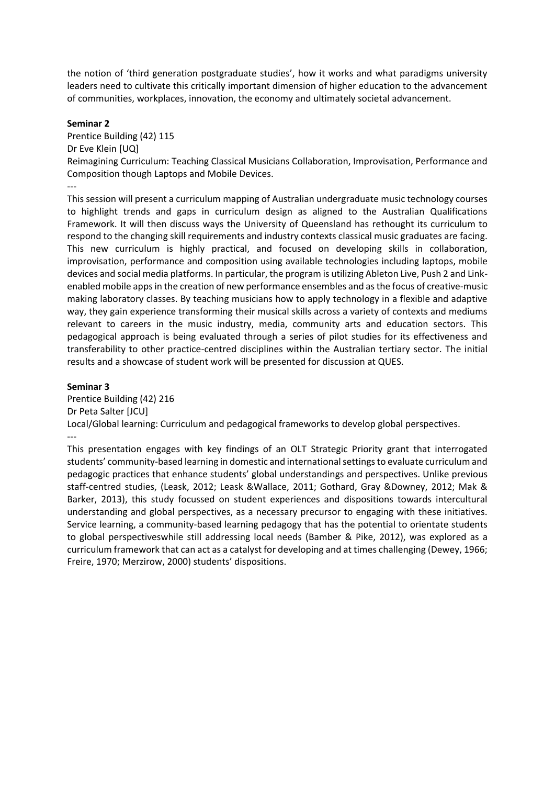the notion of 'third generation postgraduate studies', how it works and what paradigms university leaders need to cultivate this critically important dimension of higher education to the advancement of communities, workplaces, innovation, the economy and ultimately societal advancement.

#### **Seminar 2**

Prentice Building (42) 115 Dr Eve Klein [UQ] Reimagining Curriculum: Teaching Classical Musicians Collaboration, Improvisation, Performance and Composition though Laptops and Mobile Devices.

--- This session will present a curriculum mapping of Australian undergraduate music technology courses to highlight trends and gaps in curriculum design as aligned to the Australian Qualifications Framework. It will then discuss ways the University of Queensland has rethought its curriculum to respond to the changing skill requirements and industry contexts classical music graduates are facing. This new curriculum is highly practical, and focused on developing skills in collaboration, improvisation, performance and composition using available technologies including laptops, mobile devices and social media platforms. In particular, the program is utilizing Ableton Live, Push 2 and Linkenabled mobile apps in the creation of new performance ensembles and as the focus of creative-music making laboratory classes. By teaching musicians how to apply technology in a flexible and adaptive way, they gain experience transforming their musical skills across a variety of contexts and mediums relevant to careers in the music industry, media, community arts and education sectors. This pedagogical approach is being evaluated through a series of pilot studies for its effectiveness and transferability to other practice-centred disciplines within the Australian tertiary sector. The initial results and a showcase of student work will be presented for discussion at QUES.

#### **Seminar 3**

Prentice Building (42) 216 Dr Peta Salter [JCU] Local/Global learning: Curriculum and pedagogical frameworks to develop global perspectives. ---

This presentation engages with key findings of an OLT Strategic Priority grant that interrogated students' community-based learning in domestic and international settings to evaluate curriculum and pedagogic practices that enhance students' global understandings and perspectives. Unlike previous staff-centred studies, (Leask, 2012; Leask &Wallace, 2011; Gothard, Gray &Downey, 2012; Mak & Barker, 2013), this study focussed on student experiences and dispositions towards intercultural understanding and global perspectives, as a necessary precursor to engaging with these initiatives. Service learning, a community-based learning pedagogy that has the potential to orientate students to global perspectiveswhile still addressing local needs (Bamber & Pike, 2012), was explored as a curriculum framework that can act as a catalyst for developing and at times challenging (Dewey, 1966; Freire, 1970; Merzirow, 2000) students' dispositions.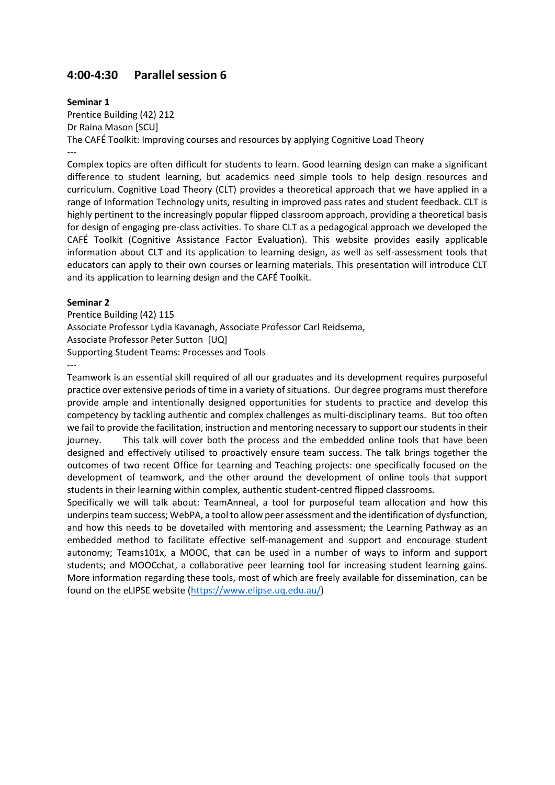### **4:00-4:30 Parallel session 6**

**Seminar 1**

Prentice Building (42) 212 Dr Raina Mason [SCU] The CAFÉ Toolkit: Improving courses and resources by applying Cognitive Load Theory

---

Complex topics are often difficult for students to learn. Good learning design can make a significant difference to student learning, but academics need simple tools to help design resources and curriculum. Cognitive Load Theory (CLT) provides a theoretical approach that we have applied in a range of Information Technology units, resulting in improved pass rates and student feedback. CLT is highly pertinent to the increasingly popular flipped classroom approach, providing a theoretical basis for design of engaging pre-class activities. To share CLT as a pedagogical approach we developed the CAFÉ Toolkit (Cognitive Assistance Factor Evaluation). This website provides easily applicable information about CLT and its application to learning design, as well as self-assessment tools that educators can apply to their own courses or learning materials. This presentation will introduce CLT and its application to learning design and the CAFÉ Toolkit.

### **Seminar 2**

Prentice Building (42) 115 Associate Professor Lydia Kavanagh, Associate Professor Carl Reidsema, Associate Professor Peter Sutton [UQ] Supporting Student Teams: Processes and Tools

---

Teamwork is an essential skill required of all our graduates and its development requires purposeful practice over extensive periods of time in a variety of situations. Our degree programs must therefore provide ample and intentionally designed opportunities for students to practice and develop this competency by tackling authentic and complex challenges as multi-disciplinary teams. But too often we fail to provide the facilitation, instruction and mentoring necessary to support our students in their journey. This talk will cover both the process and the embedded online tools that have been designed and effectively utilised to proactively ensure team success. The talk brings together the outcomes of two recent Office for Learning and Teaching projects: one specifically focused on the development of teamwork, and the other around the development of online tools that support students in their learning within complex, authentic student-centred flipped classrooms.

Specifically we will talk about: TeamAnneal, a tool for purposeful team allocation and how this underpins team success; WebPA, a tool to allow peer assessment and the identification of dysfunction, and how this needs to be dovetailed with mentoring and assessment; the Learning Pathway as an embedded method to facilitate effective self-management and support and encourage student autonomy; Teams101x, a MOOC, that can be used in a number of ways to inform and support students; and MOOCchat, a collaborative peer learning tool for increasing student learning gains. More information regarding these tools, most of which are freely available for dissemination, can be found on the eLIPSE website [\(https://www.elipse.uq.edu.au/\)](https://www.elipse.uq.edu.au/)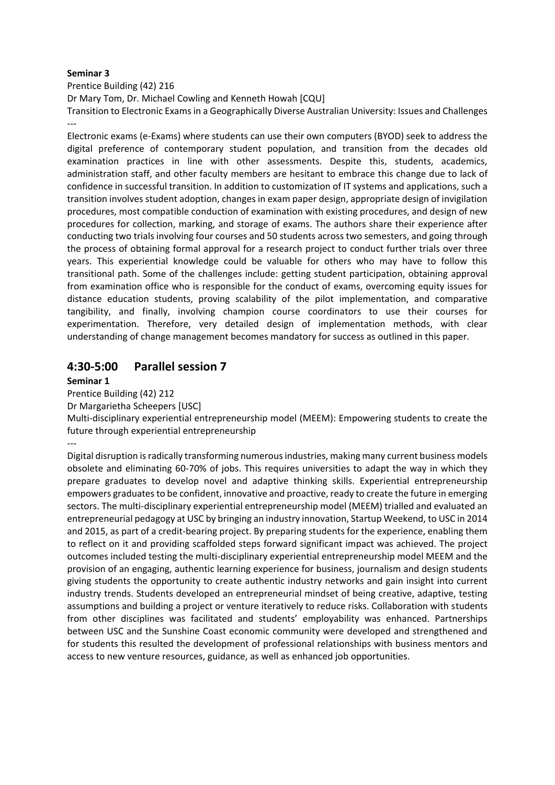Prentice Building (42) 216

Dr Mary Tom, Dr. Michael Cowling and Kenneth Howah [CQU]

Transition to Electronic Exams in a Geographically Diverse Australian University: Issues and Challenges ---

Electronic exams (e-Exams) where students can use their own computers (BYOD) seek to address the digital preference of contemporary student population, and transition from the decades old examination practices in line with other assessments. Despite this, students, academics, administration staff, and other faculty members are hesitant to embrace this change due to lack of confidence in successful transition. In addition to customization of IT systems and applications, such a transition involves student adoption, changes in exam paper design, appropriate design of invigilation procedures, most compatible conduction of examination with existing procedures, and design of new procedures for collection, marking, and storage of exams. The authors share their experience after conducting two trials involving four courses and 50 students across two semesters, and going through the process of obtaining formal approval for a research project to conduct further trials over three years. This experiential knowledge could be valuable for others who may have to follow this transitional path. Some of the challenges include: getting student participation, obtaining approval from examination office who is responsible for the conduct of exams, overcoming equity issues for distance education students, proving scalability of the pilot implementation, and comparative tangibility, and finally, involving champion course coordinators to use their courses for experimentation. Therefore, very detailed design of implementation methods, with clear understanding of change management becomes mandatory for success as outlined in this paper.

### **4:30-5:00 Parallel session 7**

### **Seminar 1**

Prentice Building (42) 212

Dr Margarietha Scheepers [USC]

Multi-disciplinary experiential entrepreneurship model (MEEM): Empowering students to create the future through experiential entrepreneurship

---

Digital disruption is radically transforming numerous industries, making many current business models obsolete and eliminating 60-70% of jobs. This requires universities to adapt the way in which they prepare graduates to develop novel and adaptive thinking skills. Experiential entrepreneurship empowers graduates to be confident, innovative and proactive, ready to create the future in emerging sectors. The multi-disciplinary experiential entrepreneurship model (MEEM) trialled and evaluated an entrepreneurial pedagogy at USC by bringing an industry innovation, Startup Weekend, to USC in 2014 and 2015, as part of a credit-bearing project. By preparing students for the experience, enabling them to reflect on it and providing scaffolded steps forward significant impact was achieved. The project outcomes included testing the multi-disciplinary experiential entrepreneurship model MEEM and the provision of an engaging, authentic learning experience for business, journalism and design students giving students the opportunity to create authentic industry networks and gain insight into current industry trends. Students developed an entrepreneurial mindset of being creative, adaptive, testing assumptions and building a project or venture iteratively to reduce risks. Collaboration with students from other disciplines was facilitated and students' employability was enhanced. Partnerships between USC and the Sunshine Coast economic community were developed and strengthened and for students this resulted the development of professional relationships with business mentors and access to new venture resources, guidance, as well as enhanced job opportunities.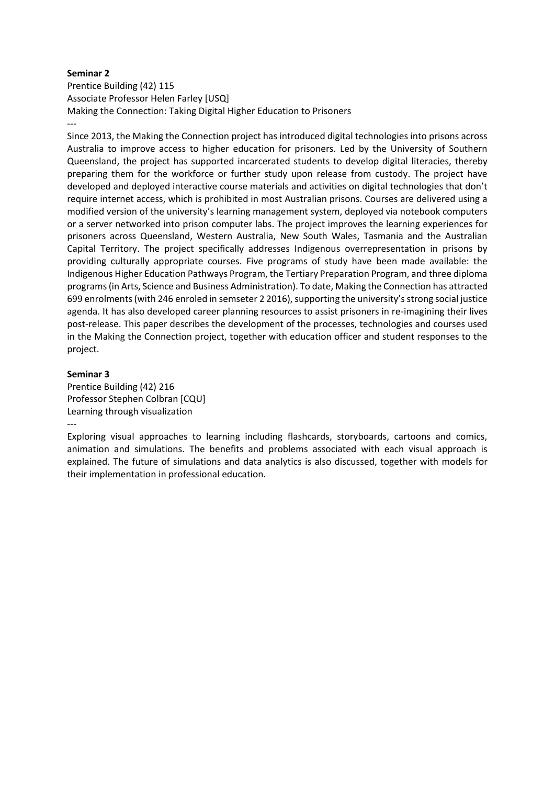Prentice Building (42) 115 Associate Professor Helen Farley [USQ] Making the Connection: Taking Digital Higher Education to Prisoners ---

Since 2013, the Making the Connection project has introduced digital technologies into prisons across Australia to improve access to higher education for prisoners. Led by the University of Southern Queensland, the project has supported incarcerated students to develop digital literacies, thereby preparing them for the workforce or further study upon release from custody. The project have developed and deployed interactive course materials and activities on digital technologies that don't require internet access, which is prohibited in most Australian prisons. Courses are delivered using a modified version of the university's learning management system, deployed via notebook computers or a server networked into prison computer labs. The project improves the learning experiences for prisoners across Queensland, Western Australia, New South Wales, Tasmania and the Australian Capital Territory. The project specifically addresses Indigenous overrepresentation in prisons by providing culturally appropriate courses. Five programs of study have been made available: the Indigenous Higher Education Pathways Program, the Tertiary Preparation Program, and three diploma programs (in Arts, Science and Business Administration). To date, Making the Connection has attracted 699 enrolments (with 246 enroled in semseter 2 2016), supporting the university's strong social justice agenda. It has also developed career planning resources to assist prisoners in re-imagining their lives post-release. This paper describes the development of the processes, technologies and courses used in the Making the Connection project, together with education officer and student responses to the project.

#### **Seminar 3**

---

Prentice Building (42) 216 Professor Stephen Colbran [CQU] Learning through visualization

Exploring visual approaches to learning including flashcards, storyboards, cartoons and comics, animation and simulations. The benefits and problems associated with each visual approach is explained. The future of simulations and data analytics is also discussed, together with models for their implementation in professional education.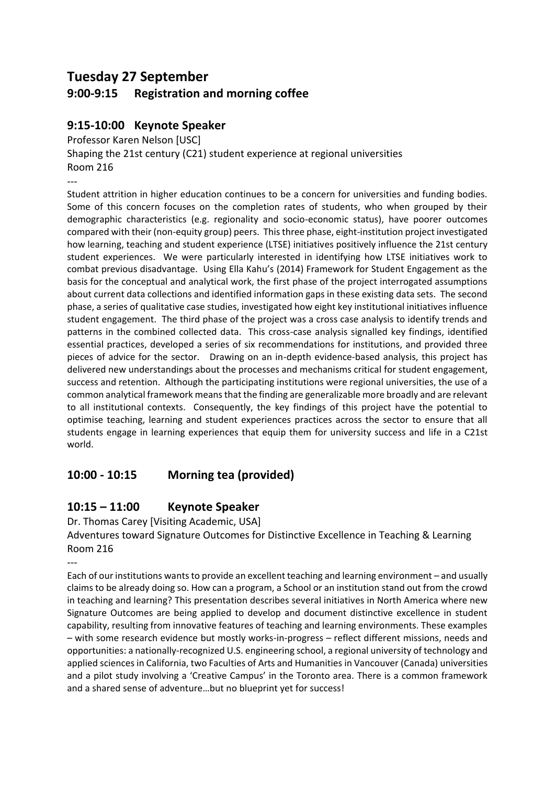# **Tuesday 27 September**

# **9:00-9:15 Registration and morning coffee**

# **9:15-10:00 Keynote Speaker**

Professor Karen Nelson [USC]

Shaping the 21st century (C21) student experience at regional universities Room 216

---

Student attrition in higher education continues to be a concern for universities and funding bodies. Some of this concern focuses on the completion rates of students, who when grouped by their demographic characteristics (e.g. regionality and socio-economic status), have poorer outcomes compared with their (non-equity group) peers. This three phase, eight-institution project investigated how learning, teaching and student experience (LTSE) initiatives positively influence the 21st century student experiences. We were particularly interested in identifying how LTSE initiatives work to combat previous disadvantage. Using Ella Kahu's (2014) Framework for Student Engagement as the basis for the conceptual and analytical work, the first phase of the project interrogated assumptions about current data collections and identified information gaps in these existing data sets. The second phase, a series of qualitative case studies, investigated how eight key institutional initiatives influence student engagement. The third phase of the project was a cross case analysis to identify trends and patterns in the combined collected data. This cross-case analysis signalled key findings, identified essential practices, developed a series of six recommendations for institutions, and provided three pieces of advice for the sector. Drawing on an in-depth evidence-based analysis, this project has delivered new understandings about the processes and mechanisms critical for student engagement, success and retention. Although the participating institutions were regional universities, the use of a common analytical framework means that the finding are generalizable more broadly and are relevant to all institutional contexts. Consequently, the key findings of this project have the potential to optimise teaching, learning and student experiences practices across the sector to ensure that all students engage in learning experiences that equip them for university success and life in a C21st world.

# **10:00 - 10:15 Morning tea (provided)**

# **10:15 – 11:00 Keynote Speaker**

Dr. Thomas Carey [Visiting Academic, USA]

Adventures toward Signature Outcomes for Distinctive Excellence in Teaching & Learning Room 216

---

Each of our institutions wants to provide an excellent teaching and learning environment – and usually claims to be already doing so. How can a program, a School or an institution stand out from the crowd in teaching and learning? This presentation describes several initiatives in North America where new Signature Outcomes are being applied to develop and document distinctive excellence in student capability, resulting from innovative features of teaching and learning environments. These examples – with some research evidence but mostly works-in-progress – reflect different missions, needs and opportunities: a nationally-recognized U.S. engineering school, a regional university of technology and applied sciences in California, two Faculties of Arts and Humanities in Vancouver (Canada) universities and a pilot study involving a 'Creative Campus' in the Toronto area. There is a common framework and a shared sense of adventure…but no blueprint yet for success!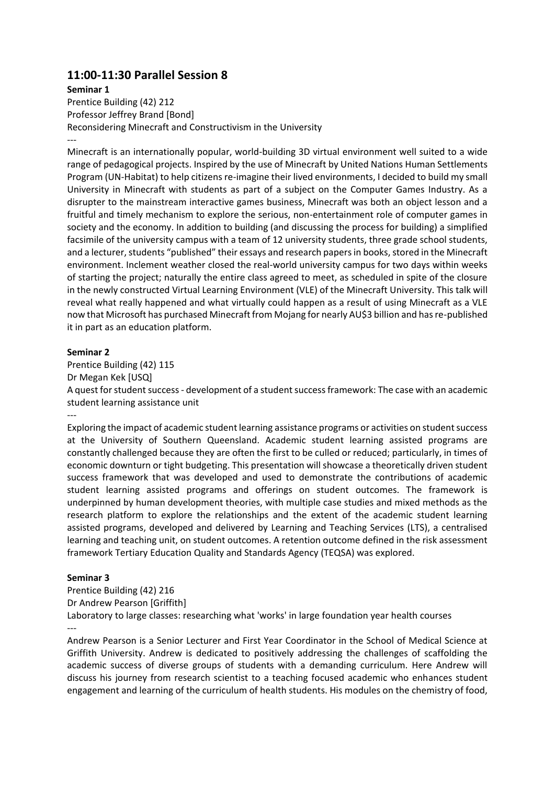### **11:00-11:30 Parallel Session 8**

### **Seminar 1**

Prentice Building (42) 212 Professor Jeffrey Brand [Bond] Reconsidering Minecraft and Constructivism in the University ---

Minecraft is an internationally popular, world-building 3D virtual environment well suited to a wide range of pedagogical projects. Inspired by the use of Minecraft by United Nations Human Settlements Program (UN-Habitat) to help citizens re-imagine their lived environments, I decided to build my small University in Minecraft with students as part of a subject on the Computer Games Industry. As a disrupter to the mainstream interactive games business, Minecraft was both an object lesson and a fruitful and timely mechanism to explore the serious, non-entertainment role of computer games in society and the economy. In addition to building (and discussing the process for building) a simplified facsimile of the university campus with a team of 12 university students, three grade school students, and a lecturer, students "published" their essays and research papers in books, stored in the Minecraft environment. Inclement weather closed the real-world university campus for two days within weeks of starting the project; naturally the entire class agreed to meet, as scheduled in spite of the closure in the newly constructed Virtual Learning Environment (VLE) of the Minecraft University. This talk will reveal what really happened and what virtually could happen as a result of using Minecraft as a VLE now that Microsoft has purchased Minecraft from Mojang for nearly AU\$3 billion and has re-published it in part as an education platform.

#### **Seminar 2**

---

Prentice Building (42) 115 Dr Megan Kek [USQ] A quest for student success - development of a student success framework: The case with an academic student learning assistance unit

Exploring the impact of academic student learning assistance programs or activities on student success at the University of Southern Queensland. Academic student learning assisted programs are constantly challenged because they are often the first to be culled or reduced; particularly, in times of economic downturn or tight budgeting. This presentation will showcase a theoretically driven student success framework that was developed and used to demonstrate the contributions of academic student learning assisted programs and offerings on student outcomes. The framework is underpinned by human development theories, with multiple case studies and mixed methods as the research platform to explore the relationships and the extent of the academic student learning assisted programs, developed and delivered by Learning and Teaching Services (LTS), a centralised learning and teaching unit, on student outcomes. A retention outcome defined in the risk assessment framework Tertiary Education Quality and Standards Agency (TEQSA) was explored.

### **Seminar 3**

Prentice Building (42) 216 Dr Andrew Pearson [Griffith] Laboratory to large classes: researching what 'works' in large foundation year health courses ---

Andrew Pearson is a Senior Lecturer and First Year Coordinator in the School of Medical Science at Griffith University. Andrew is dedicated to positively addressing the challenges of scaffolding the academic success of diverse groups of students with a demanding curriculum. Here Andrew will discuss his journey from research scientist to a teaching focused academic who enhances student engagement and learning of the curriculum of health students. His modules on the chemistry of food,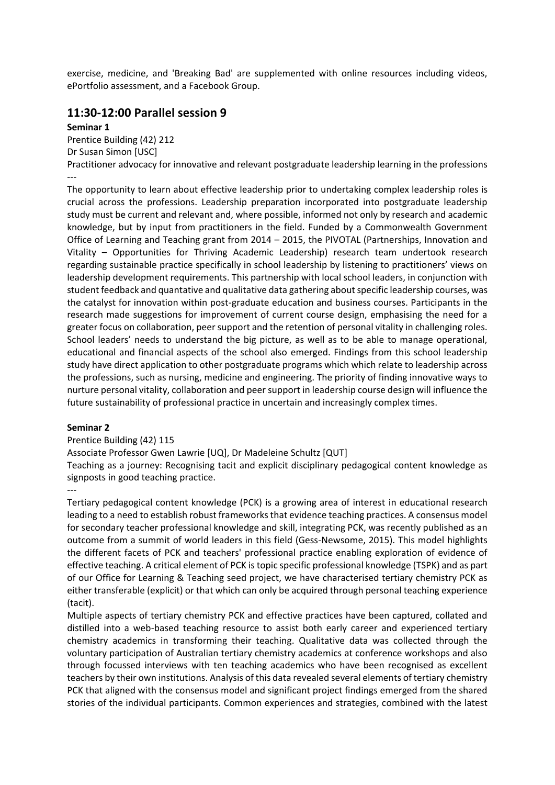exercise, medicine, and 'Breaking Bad' are supplemented with online resources including videos, ePortfolio assessment, and a Facebook Group.

### **11:30-12:00 Parallel session 9**

### **Seminar 1**

Prentice Building (42) 212 Dr Susan Simon [USC] Practitioner advocacy for innovative and relevant postgraduate leadership learning in the professions ---

The opportunity to learn about effective leadership prior to undertaking complex leadership roles is crucial across the professions. Leadership preparation incorporated into postgraduate leadership study must be current and relevant and, where possible, informed not only by research and academic knowledge, but by input from practitioners in the field. Funded by a Commonwealth Government Office of Learning and Teaching grant from 2014 – 2015, the PIVOTAL (Partnerships, Innovation and Vitality – Opportunities for Thriving Academic Leadership) research team undertook research regarding sustainable practice specifically in school leadership by listening to practitioners' views on leadership development requirements. This partnership with local school leaders, in conjunction with student feedback and quantative and qualitative data gathering about specific leadership courses, was the catalyst for innovation within post-graduate education and business courses. Participants in the research made suggestions for improvement of current course design, emphasising the need for a greater focus on collaboration, peer support and the retention of personal vitality in challenging roles. School leaders' needs to understand the big picture, as well as to be able to manage operational, educational and financial aspects of the school also emerged. Findings from this school leadership study have direct application to other postgraduate programs which which relate to leadership across the professions, such as nursing, medicine and engineering. The priority of finding innovative ways to nurture personal vitality, collaboration and peer support in leadership course design will influence the future sustainability of professional practice in uncertain and increasingly complex times.

### **Seminar 2**

### Prentice Building (42) 115

Associate Professor Gwen Lawrie [UQ], Dr Madeleine Schultz [QUT]

Teaching as a journey: Recognising tacit and explicit disciplinary pedagogical content knowledge as signposts in good teaching practice.

---

Tertiary pedagogical content knowledge (PCK) is a growing area of interest in educational research leading to a need to establish robust frameworks that evidence teaching practices. A consensus model for secondary teacher professional knowledge and skill, integrating PCK, was recently published as an outcome from a summit of world leaders in this field (Gess-Newsome, 2015). This model highlights the different facets of PCK and teachers' professional practice enabling exploration of evidence of effective teaching. A critical element of PCK is topic specific professional knowledge (TSPK) and as part of our Office for Learning & Teaching seed project, we have characterised tertiary chemistry PCK as either transferable (explicit) or that which can only be acquired through personal teaching experience (tacit).

Multiple aspects of tertiary chemistry PCK and effective practices have been captured, collated and distilled into a web-based teaching resource to assist both early career and experienced tertiary chemistry academics in transforming their teaching. Qualitative data was collected through the voluntary participation of Australian tertiary chemistry academics at conference workshops and also through focussed interviews with ten teaching academics who have been recognised as excellent teachers by their own institutions. Analysis of this data revealed several elements of tertiary chemistry PCK that aligned with the consensus model and significant project findings emerged from the shared stories of the individual participants. Common experiences and strategies, combined with the latest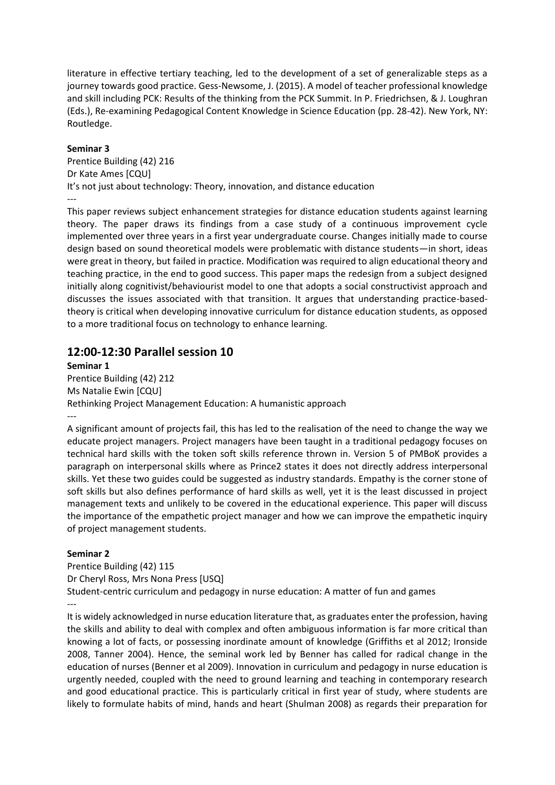literature in effective tertiary teaching, led to the development of a set of generalizable steps as a journey towards good practice. Gess-Newsome, J. (2015). A model of teacher professional knowledge and skill including PCK: Results of the thinking from the PCK Summit. In P. Friedrichsen, & J. Loughran (Eds.), Re-examining Pedagogical Content Knowledge in Science Education (pp. 28-42). New York, NY: Routledge.

### **Seminar 3**

Prentice Building (42) 216 Dr Kate Ames [CQU] It's not just about technology: Theory, innovation, and distance education ---

This paper reviews subject enhancement strategies for distance education students against learning theory. The paper draws its findings from a case study of a continuous improvement cycle implemented over three years in a first year undergraduate course. Changes initially made to course design based on sound theoretical models were problematic with distance students—in short, ideas were great in theory, but failed in practice. Modification was required to align educational theory and teaching practice, in the end to good success. This paper maps the redesign from a subject designed initially along cognitivist/behaviourist model to one that adopts a social constructivist approach and discusses the issues associated with that transition. It argues that understanding practice-basedtheory is critical when developing innovative curriculum for distance education students, as opposed to a more traditional focus on technology to enhance learning.

### **12:00-12:30 Parallel session 10**

**Seminar 1** Prentice Building (42) 212 Ms Natalie Ewin [CQU] Rethinking Project Management Education: A humanistic approach ---

A significant amount of projects fail, this has led to the realisation of the need to change the way we educate project managers. Project managers have been taught in a traditional pedagogy focuses on technical hard skills with the token soft skills reference thrown in. Version 5 of PMBoK provides a paragraph on interpersonal skills where as Prince2 states it does not directly address interpersonal skills. Yet these two guides could be suggested as industry standards. Empathy is the corner stone of soft skills but also defines performance of hard skills as well, yet it is the least discussed in project management texts and unlikely to be covered in the educational experience. This paper will discuss the importance of the empathetic project manager and how we can improve the empathetic inquiry of project management students.

### **Seminar 2**

Prentice Building (42) 115 Dr Cheryl Ross, Mrs Nona Press [USQ] Student-centric curriculum and pedagogy in nurse education: A matter of fun and games ---

It is widely acknowledged in nurse education literature that, as graduates enter the profession, having the skills and ability to deal with complex and often ambiguous information is far more critical than knowing a lot of facts, or possessing inordinate amount of knowledge (Griffiths et al 2012; Ironside 2008, Tanner 2004). Hence, the seminal work led by Benner has called for radical change in the education of nurses (Benner et al 2009). Innovation in curriculum and pedagogy in nurse education is urgently needed, coupled with the need to ground learning and teaching in contemporary research and good educational practice. This is particularly critical in first year of study, where students are likely to formulate habits of mind, hands and heart (Shulman 2008) as regards their preparation for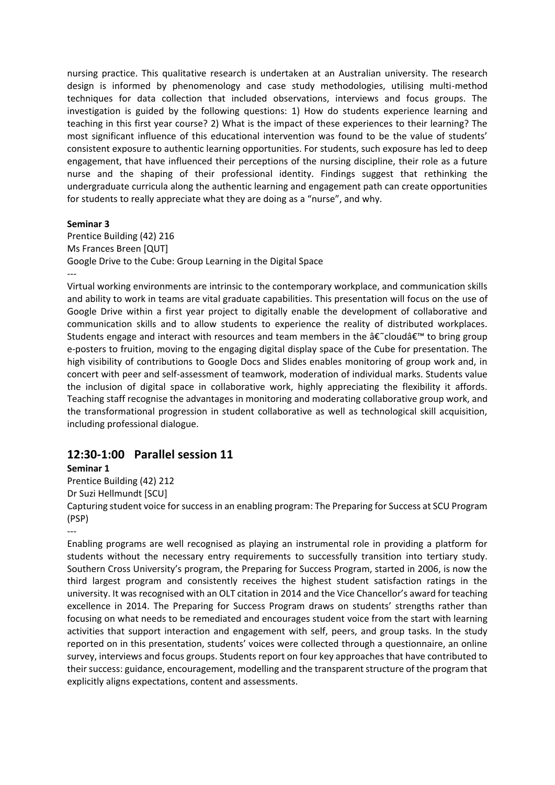nursing practice. This qualitative research is undertaken at an Australian university. The research design is informed by phenomenology and case study methodologies, utilising multi-method techniques for data collection that included observations, interviews and focus groups. The investigation is guided by the following questions: 1) How do students experience learning and teaching in this first year course? 2) What is the impact of these experiences to their learning? The most significant influence of this educational intervention was found to be the value of students' consistent exposure to authentic learning opportunities. For students, such exposure has led to deep engagement, that have influenced their perceptions of the nursing discipline, their role as a future nurse and the shaping of their professional identity. Findings suggest that rethinking the undergraduate curricula along the authentic learning and engagement path can create opportunities for students to really appreciate what they are doing as a "nurse", and why.

### **Seminar 3**

Prentice Building (42) 216 Ms Frances Breen [QUT] Google Drive to the Cube: Group Learning in the Digital Space ---

Virtual working environments are intrinsic to the contemporary workplace, and communication skills and ability to work in teams are vital graduate capabilities. This presentation will focus on the use of Google Drive within a first year project to digitally enable the development of collaborative and communication skills and to allow students to experience the reality of distributed workplaces. Students engage and interact with resources and team members in the  $\hat{\alpha} \in \hat{\alpha}$  cloud $\hat{\alpha} \in \hat{\alpha}$  to bring group e-posters to fruition, moving to the engaging digital display space of the Cube for presentation. The high visibility of contributions to Google Docs and Slides enables monitoring of group work and, in concert with peer and self-assessment of teamwork, moderation of individual marks. Students value the inclusion of digital space in collaborative work, highly appreciating the flexibility it affords. Teaching staff recognise the advantages in monitoring and moderating collaborative group work, and the transformational progression in student collaborative as well as technological skill acquisition, including professional dialogue.

### **12:30-1:00 Parallel session 11**

### **Seminar 1**

Prentice Building (42) 212

Dr Suzi Hellmundt [SCU]

Capturing student voice for success in an enabling program: The Preparing for Success at SCU Program (PSP)

---

Enabling programs are well recognised as playing an instrumental role in providing a platform for students without the necessary entry requirements to successfully transition into tertiary study. Southern Cross University's program, the Preparing for Success Program, started in 2006, is now the third largest program and consistently receives the highest student satisfaction ratings in the university. It was recognised with an OLT citation in 2014 and the Vice Chancellor's award for teaching excellence in 2014. The Preparing for Success Program draws on students' strengths rather than focusing on what needs to be remediated and encourages student voice from the start with learning activities that support interaction and engagement with self, peers, and group tasks. In the study reported on in this presentation, students' voices were collected through a questionnaire, an online survey, interviews and focus groups. Students report on four key approaches that have contributed to their success: guidance, encouragement, modelling and the transparent structure of the program that explicitly aligns expectations, content and assessments.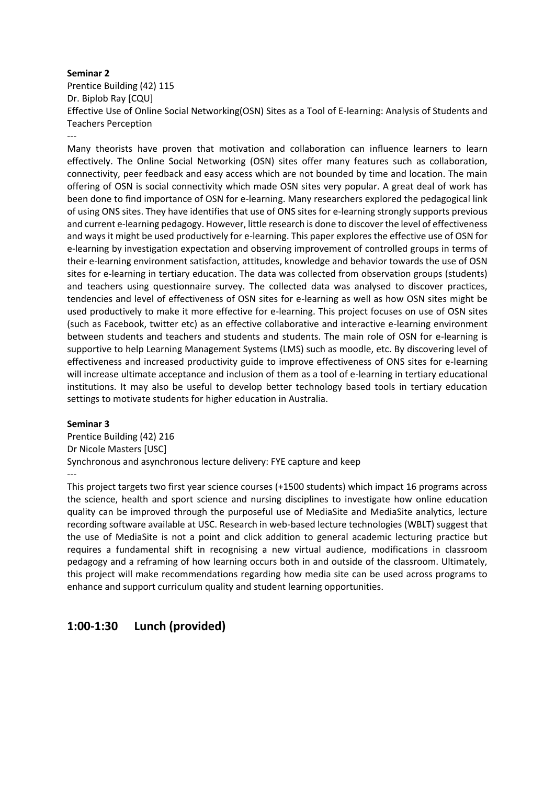Prentice Building (42) 115 Dr. Biplob Ray [CQU] Effective Use of Online Social Networking(OSN) Sites as a Tool of E-learning: Analysis of Students and Teachers Perception

---

Many theorists have proven that motivation and collaboration can influence learners to learn effectively. The Online Social Networking (OSN) sites offer many features such as collaboration, connectivity, peer feedback and easy access which are not bounded by time and location. The main offering of OSN is social connectivity which made OSN sites very popular. A great deal of work has been done to find importance of OSN for e-learning. Many researchers explored the pedagogical link of using ONS sites. They have identifies that use of ONS sites for e-learning strongly supports previous and current e-learning pedagogy. However, little research is done to discover the level of effectiveness and ways it might be used productively for e-learning. This paper explores the effective use of OSN for e-learning by investigation expectation and observing improvement of controlled groups in terms of their e-learning environment satisfaction, attitudes, knowledge and behavior towards the use of OSN sites for e-learning in tertiary education. The data was collected from observation groups (students) and teachers using questionnaire survey. The collected data was analysed to discover practices, tendencies and level of effectiveness of OSN sites for e-learning as well as how OSN sites might be used productively to make it more effective for e-learning. This project focuses on use of OSN sites (such as Facebook, twitter etc) as an effective collaborative and interactive e-learning environment between students and teachers and students and students. The main role of OSN for e-learning is supportive to help Learning Management Systems (LMS) such as moodle, etc. By discovering level of effectiveness and increased productivity guide to improve effectiveness of ONS sites for e-learning will increase ultimate acceptance and inclusion of them as a tool of e-learning in tertiary educational institutions. It may also be useful to develop better technology based tools in tertiary education settings to motivate students for higher education in Australia.

### **Seminar 3**

Prentice Building (42) 216 Dr Nicole Masters [USC] Synchronous and asynchronous lecture delivery: FYE capture and keep ---

This project targets two first year science courses (+1500 students) which impact 16 programs across the science, health and sport science and nursing disciplines to investigate how online education quality can be improved through the purposeful use of MediaSite and MediaSite analytics, lecture recording software available at USC. Research in web-based lecture technologies (WBLT) suggest that the use of MediaSite is not a point and click addition to general academic lecturing practice but requires a fundamental shift in recognising a new virtual audience, modifications in classroom pedagogy and a reframing of how learning occurs both in and outside of the classroom. Ultimately, this project will make recommendations regarding how media site can be used across programs to enhance and support curriculum quality and student learning opportunities.

### **1:00-1:30 Lunch (provided)**